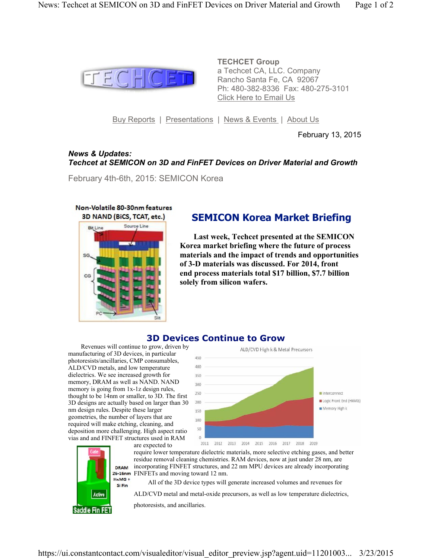

**TECHCET Group** a Techcet CA, LLC. Company Rancho Santa Fe, CA 92067 Ph: 480-382-8336 Fax: 480-275-3101 Click Here to Email Us

Buy Reports | Presentations | News & Events | About Us

February 13, 2015

## *News & Updates: Techcet at SEMICON on 3D and FinFET Devices on Driver Material and Growth*

February 4th-6th, 2015: SEMICON Korea



# **SEMICON Korea Market Briefing**

 **Last week, Techcet presented at the SEMICON Korea market briefing where the future of process materials and the impact of trends and opportunities of 3-D materials was discussed. For 2014, front end process materials total \$17 billion, \$7.7 billion solely from silicon wafers.**

# **3D Devices Continue to Grow**

 Revenues will continue to grow, driven by manufacturing of 3D devices, in particular photoresists/ancillaries, CMP consumables, ALD/CVD metals, and low temperature dielectrics. We see increased growth for memory, DRAM as well as NAND. NAND memory is going from 1x-1z design rules, thought to be 14nm or smaller, to 3D. The first 3D designs are actually based on larger than 30 nm design rules. Despite these larger geometries, the number of layers that are required will make etching, cleaning, and deposition more challenging. High aspect ratio vias and and FINFET structures used in RAM

> H<sub>K</sub>M<sub>G</sub>+ Si Fin



are expected to require lower temperature dielectric materials, more selective etching gases, and better residue removal cleaning chemistries. RAM devices, now at just under 28 nm, are incorporating FINFET structures, and 22 nm MPU devices are already incorporating 26-16nm FINFETs and moving toward 12 nm.

All of the 3D device types will generate increased volumes and revenues for

ALD/CVD metal and metal-oxide precursors, as well as low temperature dielectrics,

Active Saddle Fin FET

photoresists, and ancillaries.